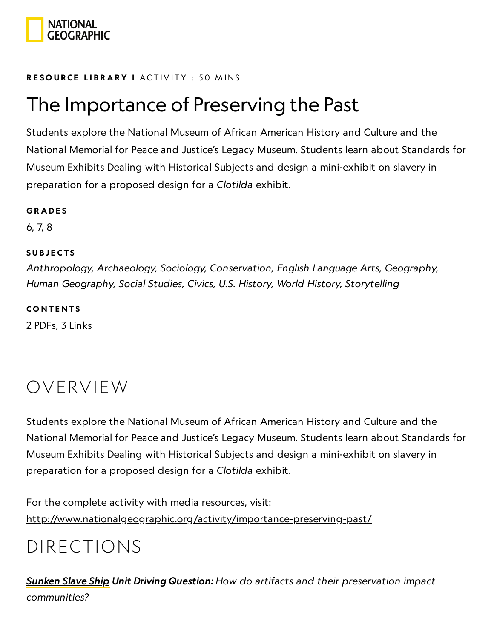

#### RESOURCE LIBRA[RY](https://www.nationalgeographic.org/education/resource-library/) I ACTIVITY : 50 MINS

# The Importance of Preserving the Past

Students explore the National Museum of African American History and Culture and the National Memorial for Peace and Justice's Legacy Museum. Students learn about Standards for Museum Exhibits Dealing with Historical Subjects and design a mini-exhibit on slavery in preparation for a proposed design for a Clotilda exhibit.

#### **GRADES**

6, 7, 8

#### **SUBJECTS**

Anthropology, Archaeology, Sociology, Conservation, English Language Arts, Geography, Human Geography, Social Studies, Civics, U.S. History, World History, Storytelling

#### **CONTENTS**

2 PDFs, 3 Links

# OVERVIEW

Students explore the National Museum of African American History and Culture and the National Memorial for Peace and Justice's Legacy Museum. Students learn about Standards for Museum Exhibits Dealing with Historical Subjects and design a mini-exhibit on slavery in preparation for a proposed design for a Clotilda exhibit.

For the complete activity with media resources, visit: <http://www.nationalgeographic.org/activity/importance-preserving-past/>

# DIRECTIONS

[Sunken](https://www.nationalgeographic.org/unit/sunken-slave-ship/) Slave Ship Unit Driving Question: How do artifacts and their preservation impact communities?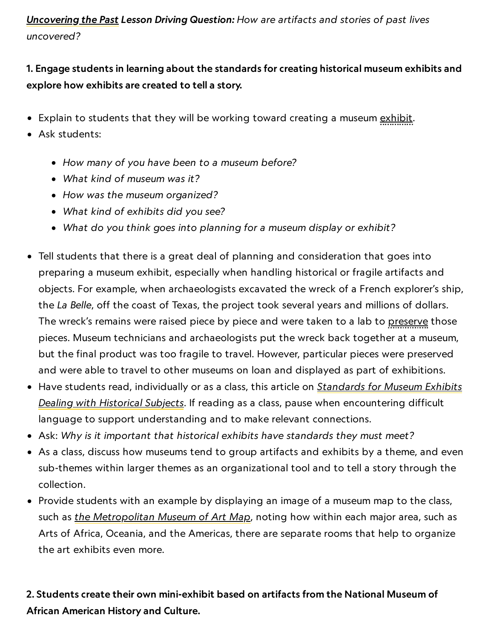[Uncovering](https://www.nationalgeographic.org/lesson/uncovering-past/) the Past Lesson Driving Question: How are artifacts and stories of past lives uncovered?

### 1. Engage students in learning about the standards for creating historical museum exhibits and explore how exhibits are created to tell a story.

- Explain to students that they will be working toward creating a museum <u>exhibit</u>.
- Ask students:
	- How many of you have been to a museum before?
	- What kind of museum was it?
	- How was the museum organized?
	- What kind of exhibits did you see?
	- What do you think goes into planning for a museum display or exhibit?
- Tell students that there is a great deal of planning and consideration that goes into preparing a museum exhibit, especially when handling historical or fragile artifacts and objects. For example, when archaeologists excavated the wreck of a French explorer's ship, the La Belle, off the coast of Texas, the project took several years and millions of dollars. The wreck's remains were raised piece by piece and were taken to a lab to preserve those pieces. Museum technicians and archaeologists put the wreck back together at a museum, but the final product was too fragile to travel. However, particular pieces were preserved and were able to travel to other museums on loan and displayed as part of exhibitions.
- Have students [read, individually](https://www.historians.org/jobs-and-professional-development/statements-standards-and-guidelines-of-the-discipline/standards-for-museum-exhibits-dealing-with-historical-subjects) or as a class, this article on *Standards for Museum Exhibits* Dealing with Historical Subjects. If reading as a class, pause when encountering difficult language to support understanding and to make relevant connections.
- Ask: Why is it important that historical exhibits have standards they must meet?
- As a class, discuss how museums tend to group artifacts and exhibits by a theme, and even sub-themes within larger themes as an organizational tool and to tell a story through the collection.
- Provide students with an example by displaying an image of a museum map to the class, such as the [Metropolitan](https://maps.metmuseum.org/) Museum of Art Map, noting how within each major area, such as Arts of Africa, Oceania, and the Americas, there are separate rooms that help to organize the art exhibits even more.

### 2. Students create their own mini-exhibit based on artifacts from the National Museum of African American History and Culture.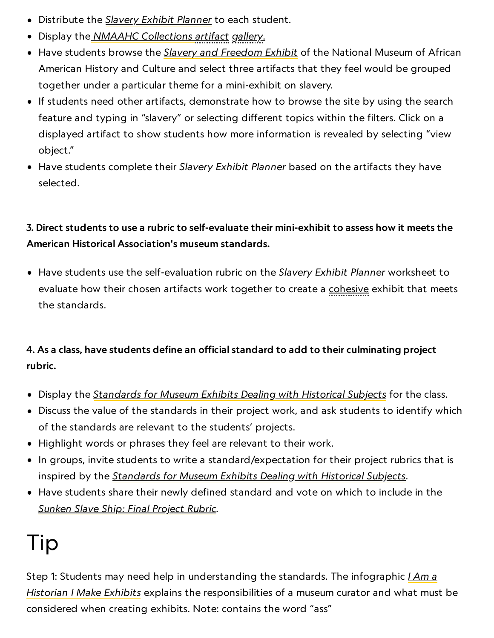- Distribute the Slavery Exhibit [Planner](https://media.nationalgeographic.org/assets/file/SlaveryExhibitPlanner.pdf) to each student.
- Display the NMAAHC [Collections](https://nmaahc.si.edu/explore/collection/search?edan_q=%2A%3A%2A&edan_local=1&edan_fq%5B%5D=topic%3A%22Slavery%22) artifact gallery.
- Have students browse the Slavery and [Freedom](https://nmaahc.si.edu/slavery-and-freedom) Exhibit of the National Museum of African American History and Culture and select three artifacts that they feel would be grouped together under a particular theme for a mini-exhibit on slavery.
- If students need other artifacts, demonstrate how to browse the site by using the search feature and typing in "slavery" or selecting different topics within the filters. Click on a displayed artifact to show students how more information is revealed by selecting "view object."
- Have students complete their Slavery Exhibit Planner based on the artifacts they have selected.

### 3. Direct students to use a rubric to self-evaluate their mini-exhibit to assess how it meets the American Historical Association's museum standards.

• Have students use the self-evaluation rubric on the Slavery Exhibit Planner worksheet to evaluate how their chosen artifacts work together to create a cohesive exhibit that meets the standards.

### 4. As a class, have students define an official standard to add to their culminating project rubric.

- Display the *[Standards](https://www.historians.org/jobs-and-professional-development/statements-standards-and-guidelines-of-the-discipline/standards-for-museum-exhibits-dealing-with-historical-subjects) for Museum Exhibits Dealing with Historical Subjects* for the class.
- Discuss the value of the standards in their project work, and ask students to identify which of the standards are relevant to the students' projects.
- Highlight words or phrases they feel are relevant to their work.
- In groups, invite students to write a standard/expectation for their project rubrics that is inspired by the *[Standards](https://www.historians.org/jobs-and-professional-development/statements-standards-and-guidelines-of-the-discipline/standards-for-museum-exhibits-dealing-with-historical-subjects) for Museum Exhibits Dealing with Historical Subjects*.
- Have students share their newly defined standard and vote on which to include in the Sunken Slave [Ship: Final](https://media.nationalgeographic.org/assets/file/SunkenSlaveShipFinalProjectRubric.pdf) Project Rubric.

# Tip

Step 1: Students may need help in understanding the [standards. The](https://contingentmagazine.org/2019/03/20/i-make-exhibits/) infographic *I Am a* Historian I Make Exhibits explains the responsibilities of a museum curator and what must be considered when creating exhibits. Note: contains the word "ass"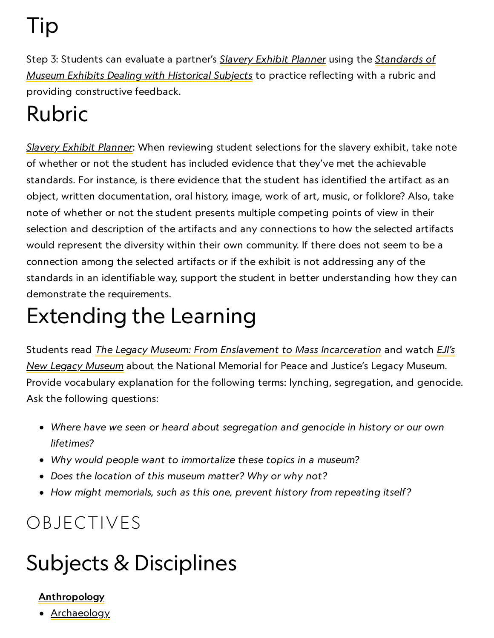Tip

Step 3: Students can evaluate a partner's Slavery Exhibit [Planner](https://media.nationalgeographic.org/assets/file/SlaveryExhibitPlanner.pdf) using the [Standards](https://www.historians.org/jobs-and-professional-development/statements-standards-and-guidelines-of-the-discipline/standards-for-museum-exhibits-dealing-with-historical-subjects) of Museum Exhibits Dealing with Historical Subjects to practice reflecting with a rubric and providing constructive feedback.

# Rubric

Slavery Exhibit [Planner](https://media.nationalgeographic.org/assets/file/SlaveryExhibitPlanner.pdf): When reviewing student selections for the slavery exhibit, take note of whether or not the student has included evidence that they've met the achievable standards. For instance, is there evidence that the student has identified the artifact as an object, written documentation, oral history, image, work of art, music, or folklore? Also, take note of whether or not the student presents multiple competing points of view in their selection and description of the artifacts and any connections to how the selected artifacts would represent the diversity within their own community. If there does not seem to be a connection among the selected artifacts or if the exhibit is not addressing any of the standards in an identifiable way, support the student in better understanding how they can demonstrate the requirements.

# Extending the Learning

Students read *The Legacy [Museum: From](https://museumandmemorial.eji.org/museum) Enslavement to Mass Incarceration* and watch *EJI's* New Legacy Museum about the National Memorial for Peace and Justice's Legacy Museum. Provide vocabulary explanation for the following terms: lynching, segregation, and genocide. Ask the following questions:

- Where have we seen or heard about segregation and genocide in history or our own lifetimes?
- Why would people want to immortalize these topics in a museum?
- Does the location of this museum matter? Why or why not?
- How might memorials, such as this one, prevent history from repeating itself?

# OBJECTIVES

# Subjects & Disciplines

## **[Anthropology](http://education.nationalgeographic.com/education/encyclopedia/anthropology/?ar_a=1)**

• [Archaeology](http://education.nationalgeographic.com/education/encyclopedia/archaeology/?ar_a=1)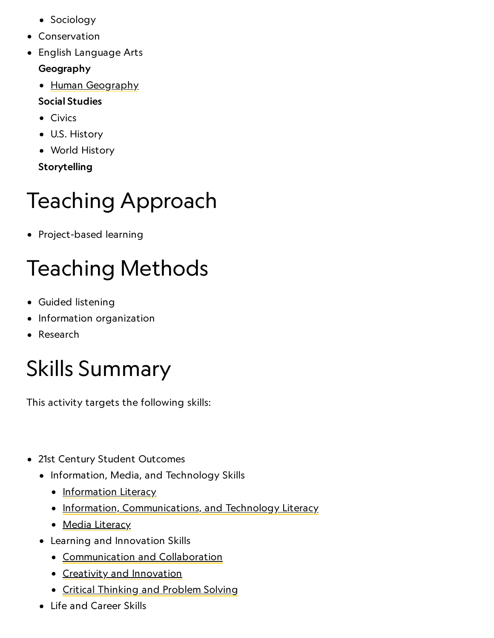- Sociology
- Conservation
- English Language Arts

### Geography

• Human [Geography](https://www.nationalgeographic.org/encyclopedia/geography/)

### Social Studies

- Civics
- U.S. History
- World History

Storytelling

# Teaching Approach

• Project-based learning

# Teaching Methods

- Guided listening
- Information organization
- Research

# Skills Summary

This activity targets the following skills:

- 21st Century Student Outcomes
	- Information, Media, and Technology Skills
		- [Information](http://www.p21.org/index.php?option=com_content&task=view&id=264&Itemid=120) Literacy
		- [Information, Communications, and](http://www.p21.org/index.php?option=com_content&task=view&id=350&Itemid=120) Technology Literacy
		- Media [Literacy](http://www.p21.org/index.php?option=com_content&task=view&id=349&Itemid=120)
	- Learning and Innovation Skills
		- [Communication](http://www.p21.org/index.php?option=com_content&task=view&id=261&Itemid=120) and Collaboration
		- Creativity and [Innovation](http://www.p21.org/index.php?option=com_content&task=view&id=262&Itemid=120)
		- Critical [Thinking](http://www.p21.org/index.php?option=com_content&task=view&id=260&Itemid=120) and Problem Solving
	- Life and Career Skills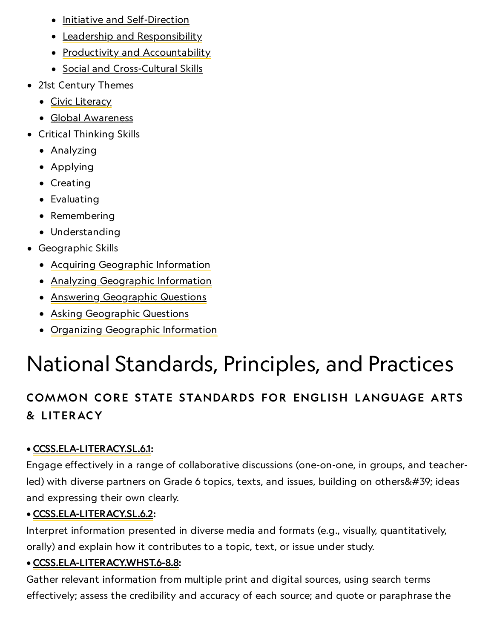- Initiative and [Self-Direction](http://www.p21.org/index.php?option=com_content&task=view&id=266&Itemid=120)
- **•** Leadership and [Responsibility](http://www.p21.org/index.php?option=com_content&task=view&id=266&Itemid=120)
- Productivity and [Accountability](http://www.p21.org/index.php?option=com_content&task=view&id=266&Itemid=120)
- Social and [Cross-Cultural](http://www.p21.org/index.php?option=com_content&task=view&id=266&Itemid=120) Skills
- 21st Century Themes
	- Civic [Literacy](http://www.p21.org/index.php?option=com_content&task=view&id=258&Itemid=120)
	- Global [Awareness](http://www.p21.org/index.php?option=com_content&task=view&id=256&Itemid=120)
- Critical Thinking Skills
	- Analyzing
	- Applying
	- Creating
	- Evaluating
	- Remembering
	- Understanding
- Geographic Skills
	- Acquiring [Geographic](https://www.nationalgeographic.org/geographic-skills/2/) Information
	- Analyzing [Geographic](http://education.nationalgeographic.com/education/geographic-skills/4/?ar_a=1) Information
	- **Answering [Geographic](http://education.nationalgeographic.com/education/geographic-skills/5/?ar_a=1) Questions**
	- Asking [Geographic](http://education.nationalgeographic.com/education/geographic-skills/1/?ar_a=1) Questions
	- Organizing [Geographic](http://education.nationalgeographic.com/education/geographic-skills/3/?ar_a=1) Information

# National Standards, Principles, and Practices

## COMMON CORE STATE STANDARDS FOR ENGLISH LANGUAGE ARTS & L ITERACY

## • [CCSS.ELA-LITERACY.SL.6.1](http://www.corestandards.org/ELA-Literacy/SL/8/1/):

Engage effectively in a range of collaborative discussions (one-on-one, in groups, and teacherled) with diverse partners on Grade 6 topics, texts, and issues, building on others' ideas and expressing their own clearly.

### • [CCSS.ELA-LITERACY.SL.6.2](http://www.corestandards.org/ELA-Literacy/SL/6/2/):

Interpret information presented in diverse media and formats (e.g., visually, quantitatively, orally) and explain how it contributes to a topic, text, or issue under study.

### • [CCSS.ELA-LITERACY.WHST.6-8.8:](http://www.corestandards.org/ELA-Literacy/WHST/6-8/8/)

Gather relevant information from multiple print and digital sources, using search terms effectively; assess the credibility and accuracy of each source; and quote or paraphrase the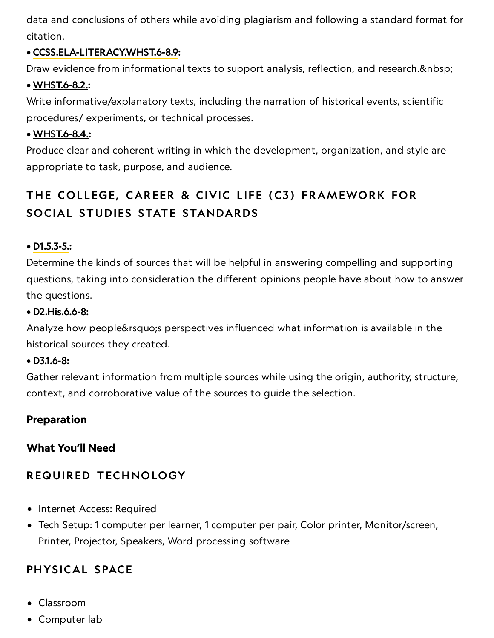data and conclusions of others while avoiding plagiarism and following a standard format for citation.

#### • [CCSS.ELA-LITERACY.WHST.6-8.9:](http://www.corestandards.org/ELA-Literacy/WHST/6-8/9/)

Draw evidence from informational texts to support analysis, reflection, and research.

#### • [WHST.6-8.2.](http://www.corestandards.org/ELA-Literacy/WHST/6-8/2/):

Write informative/explanatory texts, including the narration of historical events, scientific procedures/ experiments, or technical processes.

#### • [WHST.6-8.4.:](http://www.corestandards.org/ELA-Literacy/WHST/6-8/4/)

Produce clear and coherent writing in which the development, organization, and style are appropriate to task, purpose, and audience.

## THE COLLEGE, CAREER & CIVIC LIFE (C3) FRAMEWORK FOR SOCIAL STUDIES STATE STANDARDS

#### $\bullet$  <u>[D1.5.3-5.:](https://www.socialstudies.org/sites/default/files/c3/C3-Framework-for-Social-Studies.pdf)</u>

Determine the kinds of sources that will be helpful in answering compelling and supporting questions, taking into consideration the different opinions people have about how to answer the questions.

#### • [D2.His.6.6-8:](https://www.socialstudies.org/sites/default/files/c3/C3-Framework-for-Social-Studies.pdf)

Analyze how people' sperspectives influenced what information is available in the historical sources they created.

#### • [D3.1.6-8:](https://www.socialstudies.org/sites/default/files/c3/C3-Framework-for-Social-Studies.pdf)

Gather relevant information from multiple sources while using the origin, authority, structure, context, and corroborative value of the sources to guide the selection.

#### Preparation

#### What You'll Need

### REQUIRED TECHNOLOGY

- Internet Access: Required
- Tech Setup: 1 computer per learner, 1 computer per pair, Color printer, Monitor/screen, Printer, Projector, Speakers, Word processing software

### PHYSICAL SPACE

- Classroom
- Computer lab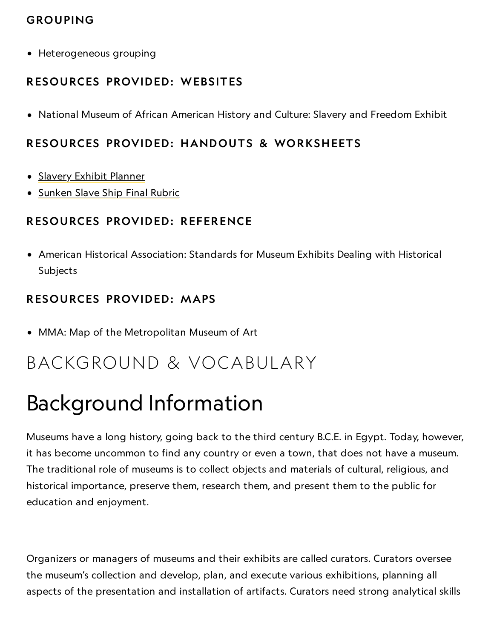### GROUPING

Heterogeneous grouping

#### RESOURCES PROVIDED: WEBSITES

National Museum of African American History and Culture: Slavery and Freedom Exhibit

#### RESOURCES PROVIDED: HANDOUTS & WORKSHEETS

- Slavery Exhibit [Planner](https://media.nationalgeographic.org/assets/file/SlaveryExhibitPlanner.pdf)
- [Sunken](https://media.nationalgeographic.org/assets/file/SunkenSlaveShipFinalProjectRubric.pdf) Slave Ship Final Rubric

#### RESOURCES PROVIDED: REFERENCE

American Historical Association: Standards for Museum Exhibits Dealing with Historical Subjects

#### RESOURCES PROVIDED: MAPS

MMA: Map of the Metropolitan Museum of Art

## BACKGROUND & VOCABULARY

# Background Information

Museums have a long history, going back to the third century B.C.E. in Egypt. Today, however, it has become uncommon to find any country or even a town, that does not have a museum. The traditional role of museums is to collect objects and materials of cultural, religious, and historical importance, preserve them, research them, and present them to the public for education and enjoyment.

Organizers or managers of museums and their exhibits are called curators. Curators oversee the museum's collection and develop, plan, and execute various exhibitions, planning all aspects of the presentation and installation of artifacts. Curators need strong analytical skills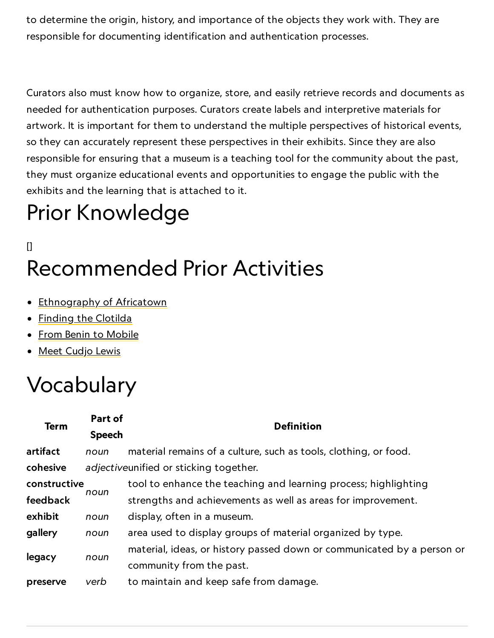to determine the origin, history, and importance of the objects they work with. They are responsible for documenting identification and authentication processes.

Curators also must know how to organize, store, and easily retrieve records and documents as needed for authentication purposes. Curators create labels and interpretive materials for artwork. It is important for them to understand the multiple perspectives of historical events, so they can accurately represent these perspectives in their exhibits. Since they are also responsible for ensuring that a museum is a teaching tool for the community about the past, they must organize educational events and opportunities to engage the public with the exhibits and the learning that is attached to it.

# Prior Knowledge

# $\mathsf{I}$ Recommended Prior Activities

- [Ethnography](https://www.nationalgeographic.org/activity/ethnography-africatown/) of Africatown
- Finding the [Clotilda](https://www.nationalgeographic.org/activity/finding-clotilda/)
- From Benin to [Mobile](https://www.nationalgeographic.org/activity/benin-mobile/)
- Meet [Cudjo](https://www.nationalgeographic.org/activity/meet-cudjo-lewis/) Lewis

# Vocabulary

| <b>Term</b>  | Part of<br><b>Speech</b> | <b>Definition</b>                                                      |
|--------------|--------------------------|------------------------------------------------------------------------|
| artifact     | noun                     | material remains of a culture, such as tools, clothing, or food.       |
| cohesive     |                          | adjectiveunified or sticking together.                                 |
| constructive | noun                     | tool to enhance the teaching and learning process; highlighting        |
| feedback     |                          | strengths and achievements as well as areas for improvement.           |
| exhibit      | noun                     | display, often in a museum.                                            |
| gallery      | noun                     | area used to display groups of material organized by type.             |
| legacy       | noun                     | material, ideas, or history passed down or communicated by a person or |
|              |                          | community from the past.                                               |
| preserve     | verb                     | to maintain and keep safe from damage.                                 |